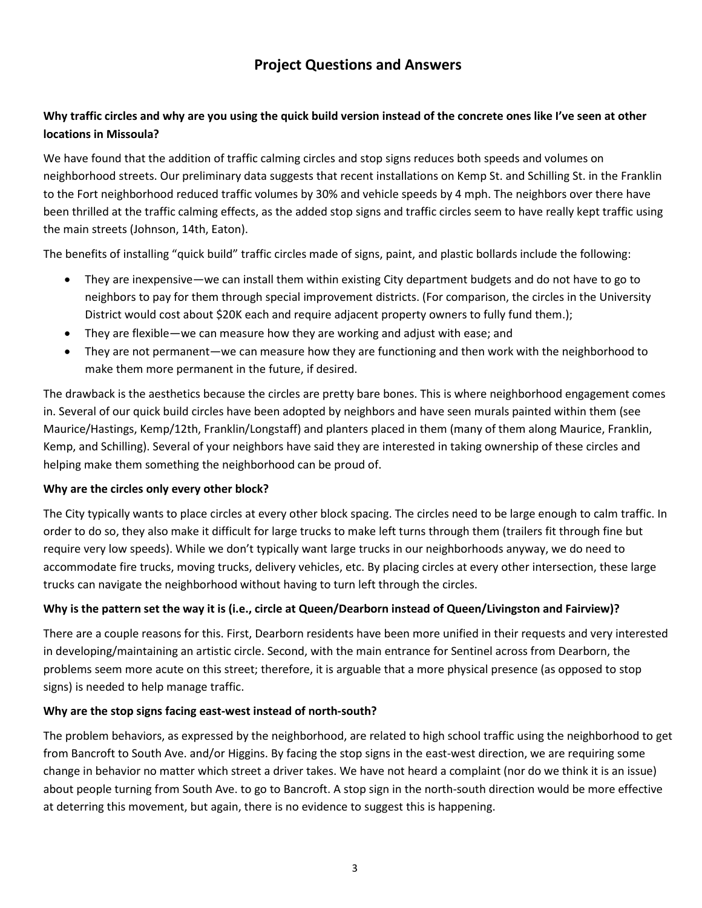# **Project Questions and Answers**

# **Why traffic circles and why are you using the quick build version instead of the concrete ones like I've seen at other locations in Missoula?**

We have found that the addition of traffic calming circles and stop signs reduces both speeds and volumes on neighborhood streets. Our preliminary data suggests that recent installations on Kemp St. and Schilling St. in the Franklin to the Fort neighborhood reduced traffic volumes by 30% and vehicle speeds by 4 mph. The neighbors over there have been thrilled at the traffic calming effects, as the added stop signs and traffic circles seem to have really kept traffic using the main streets (Johnson, 14th, Eaton).

The benefits of installing "quick build" traffic circles made of signs, paint, and plastic bollards include the following:

- They are inexpensive—we can install them within existing City department budgets and do not have to go to neighbors to pay for them through special improvement districts. (For comparison, the circles in the University District would cost about \$20K each and require adjacent property owners to fully fund them.);
- They are flexible—we can measure how they are working and adjust with ease; and
- They are not permanent—we can measure how they are functioning and then work with the neighborhood to make them more permanent in the future, if desired.

The drawback is the aesthetics because the circles are pretty bare bones. This is where neighborhood engagement comes in. Several of our quick build circles have been adopted by neighbors and have seen murals painted within them (see Maurice/Hastings, Kemp/12th, Franklin/Longstaff) and planters placed in them (many of them along Maurice, Franklin, Kemp, and Schilling). Several of your neighbors have said they are interested in taking ownership of these circles and helping make them something the neighborhood can be proud of.

# **Why are the circles only every other block?**

The City typically wants to place circles at every other block spacing. The circles need to be large enough to calm traffic. In order to do so, they also make it difficult for large trucks to make left turns through them (trailers fit through fine but require very low speeds). While we don't typically want large trucks in our neighborhoods anyway, we do need to accommodate fire trucks, moving trucks, delivery vehicles, etc. By placing circles at every other intersection, these large trucks can navigate the neighborhood without having to turn left through the circles.

# **Why is the pattern set the way it is (i.e., circle at Queen/Dearborn instead of Queen/Livingston and Fairview)?**

There are a couple reasons for this. First, Dearborn residents have been more unified in their requests and very interested in developing/maintaining an artistic circle. Second, with the main entrance for Sentinel across from Dearborn, the problems seem more acute on this street; therefore, it is arguable that a more physical presence (as opposed to stop signs) is needed to help manage traffic.

# **Why are the stop signs facing east-west instead of north-south?**

The problem behaviors, as expressed by the neighborhood, are related to high school traffic using the neighborhood to get from Bancroft to South Ave. and/or Higgins. By facing the stop signs in the east-west direction, we are requiring some change in behavior no matter which street a driver takes. We have not heard a complaint (nor do we think it is an issue) about people turning from South Ave. to go to Bancroft. A stop sign in the north-south direction would be more effective at deterring this movement, but again, there is no evidence to suggest this is happening.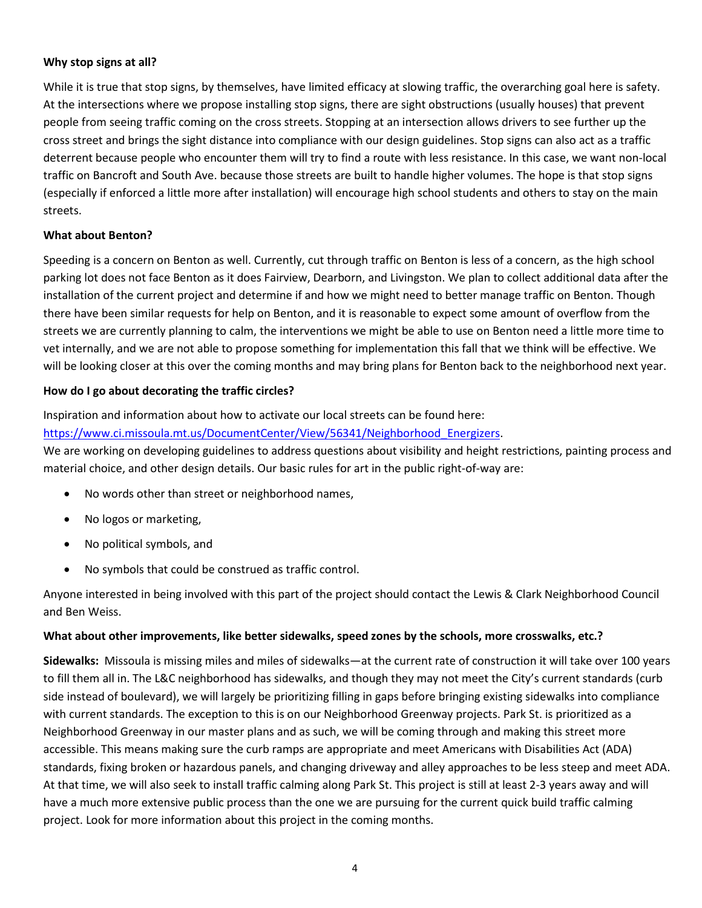# **Why stop signs at all?**

While it is true that stop signs, by themselves, have limited efficacy at slowing traffic, the overarching goal here is safety. At the intersections where we propose installing stop signs, there are sight obstructions (usually houses) that prevent people from seeing traffic coming on the cross streets. Stopping at an intersection allows drivers to see further up the cross street and brings the sight distance into compliance with our design guidelines. Stop signs can also act as a traffic deterrent because people who encounter them will try to find a route with less resistance. In this case, we want non-local traffic on Bancroft and South Ave. because those streets are built to handle higher volumes. The hope is that stop signs (especially if enforced a little more after installation) will encourage high school students and others to stay on the main streets.

# **What about Benton?**

Speeding is a concern on Benton as well. Currently, cut through traffic on Benton is less of a concern, as the high school parking lot does not face Benton as it does Fairview, Dearborn, and Livingston. We plan to collect additional data after the installation of the current project and determine if and how we might need to better manage traffic on Benton. Though there have been similar requests for help on Benton, and it is reasonable to expect some amount of overflow from the streets we are currently planning to calm, the interventions we might be able to use on Benton need a little more time to vet internally, and we are not able to propose something for implementation this fall that we think will be effective. We will be looking closer at this over the coming months and may bring plans for Benton back to the neighborhood next year.

# **How do I go about decorating the traffic circles?**

# Inspiration and information about how to activate our local streets can be found here:

# [https://www.ci.missoula.mt.us/DocumentCenter/View/56341/Neighborhood\\_Energizers.](https://www.ci.missoula.mt.us/DocumentCenter/View/56341/Neighborhood_Energizers)

We are working on developing guidelines to address questions about visibility and height restrictions, painting process and material choice, and other design details. Our basic rules for art in the public right-of-way are:

- No words other than street or neighborhood names,
- No logos or marketing,
- No political symbols, and
- No symbols that could be construed as traffic control.

Anyone interested in being involved with this part of the project should contact the Lewis & Clark Neighborhood Council and Ben Weiss.

# **What about other improvements, like better sidewalks, speed zones by the schools, more crosswalks, etc.?**

**Sidewalks:** Missoula is missing miles and miles of sidewalks—at the current rate of construction it will take over 100 years to fill them all in. The L&C neighborhood has sidewalks, and though they may not meet the City's current standards (curb side instead of boulevard), we will largely be prioritizing filling in gaps before bringing existing sidewalks into compliance with current standards. The exception to this is on our Neighborhood Greenway projects. Park St. is prioritized as a Neighborhood Greenway in our master plans and as such, we will be coming through and making this street more accessible. This means making sure the curb ramps are appropriate and meet Americans with Disabilities Act (ADA) standards, fixing broken or hazardous panels, and changing driveway and alley approaches to be less steep and meet ADA. At that time, we will also seek to install traffic calming along Park St. This project is still at least 2-3 years away and will have a much more extensive public process than the one we are pursuing for the current quick build traffic calming project. Look for more information about this project in the coming months.